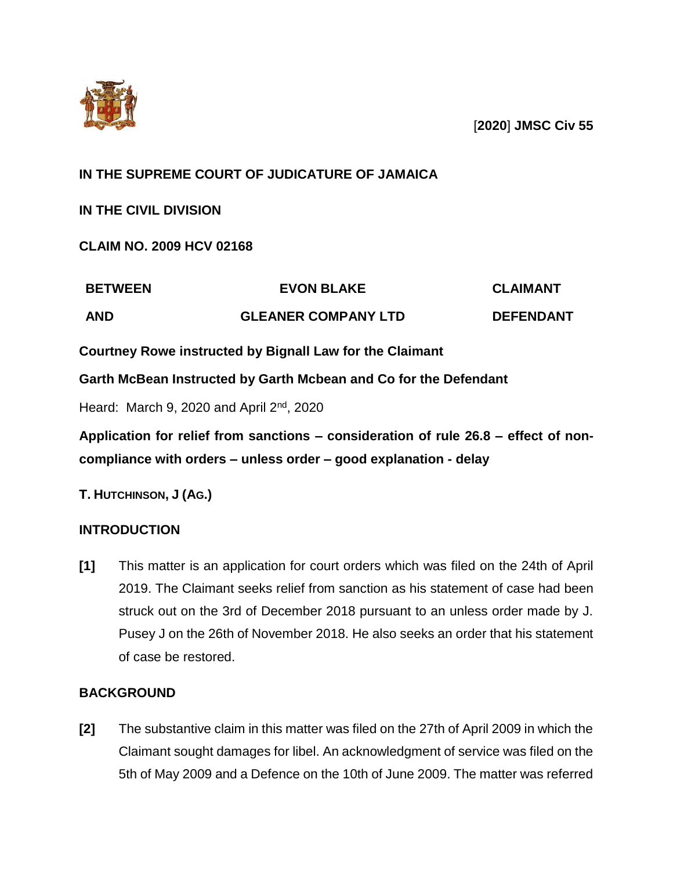

[**2020**] **JMSC Civ 55**

## **IN THE SUPREME COURT OF JUDICATURE OF JAMAICA**

**IN THE CIVIL DIVISION**

**CLAIM NO. 2009 HCV 02168**

| <b>BETWEEN</b> | <b>EVON BLAKE</b>          | <b>CLAIMANT</b>  |
|----------------|----------------------------|------------------|
| <b>AND</b>     | <b>GLEANER COMPANY LTD</b> | <b>DEFENDANT</b> |

**Courtney Rowe instructed by Bignall Law for the Claimant**

**Garth McBean Instructed by Garth Mcbean and Co for the Defendant**

Heard: March 9, 2020 and April  $2<sup>nd</sup>$ , 2020

**Application for relief from sanctions – consideration of rule 26.8 – effect of noncompliance with orders – unless order – good explanation - delay**

**T. HUTCHINSON, J (AG.)**

## **INTRODUCTION**

**[1]** This matter is an application for court orders which was filed on the 24th of April 2019. The Claimant seeks relief from sanction as his statement of case had been struck out on the 3rd of December 2018 pursuant to an unless order made by J. Pusey J on the 26th of November 2018. He also seeks an order that his statement of case be restored.

## **BACKGROUND**

**[2]** The substantive claim in this matter was filed on the 27th of April 2009 in which the Claimant sought damages for libel. An acknowledgment of service was filed on the 5th of May 2009 and a Defence on the 10th of June 2009. The matter was referred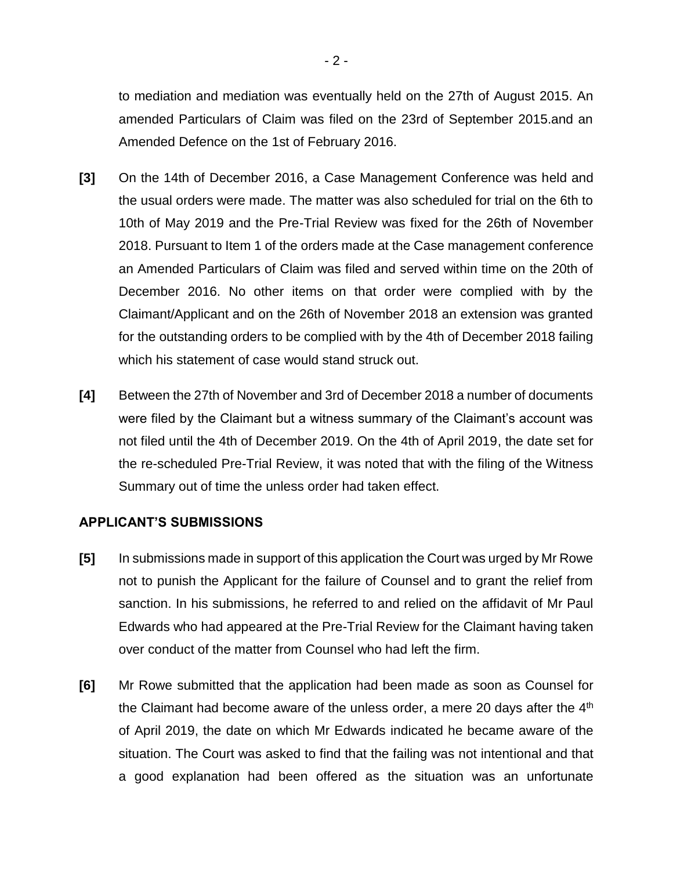to mediation and mediation was eventually held on the 27th of August 2015. An amended Particulars of Claim was filed on the 23rd of September 2015.and an Amended Defence on the 1st of February 2016.

- **[3]** On the 14th of December 2016, a Case Management Conference was held and the usual orders were made. The matter was also scheduled for trial on the 6th to 10th of May 2019 and the Pre-Trial Review was fixed for the 26th of November 2018. Pursuant to Item 1 of the orders made at the Case management conference an Amended Particulars of Claim was filed and served within time on the 20th of December 2016. No other items on that order were complied with by the Claimant/Applicant and on the 26th of November 2018 an extension was granted for the outstanding orders to be complied with by the 4th of December 2018 failing which his statement of case would stand struck out.
- **[4]** Between the 27th of November and 3rd of December 2018 a number of documents were filed by the Claimant but a witness summary of the Claimant's account was not filed until the 4th of December 2019. On the 4th of April 2019, the date set for the re-scheduled Pre-Trial Review, it was noted that with the filing of the Witness Summary out of time the unless order had taken effect.

### **APPLICANT'S SUBMISSIONS**

- **[5]** In submissions made in support of this application the Court was urged by Mr Rowe not to punish the Applicant for the failure of Counsel and to grant the relief from sanction. In his submissions, he referred to and relied on the affidavit of Mr Paul Edwards who had appeared at the Pre-Trial Review for the Claimant having taken over conduct of the matter from Counsel who had left the firm.
- **[6]** Mr Rowe submitted that the application had been made as soon as Counsel for the Claimant had become aware of the unless order, a mere 20 days after the  $4<sup>th</sup>$ of April 2019, the date on which Mr Edwards indicated he became aware of the situation. The Court was asked to find that the failing was not intentional and that a good explanation had been offered as the situation was an unfortunate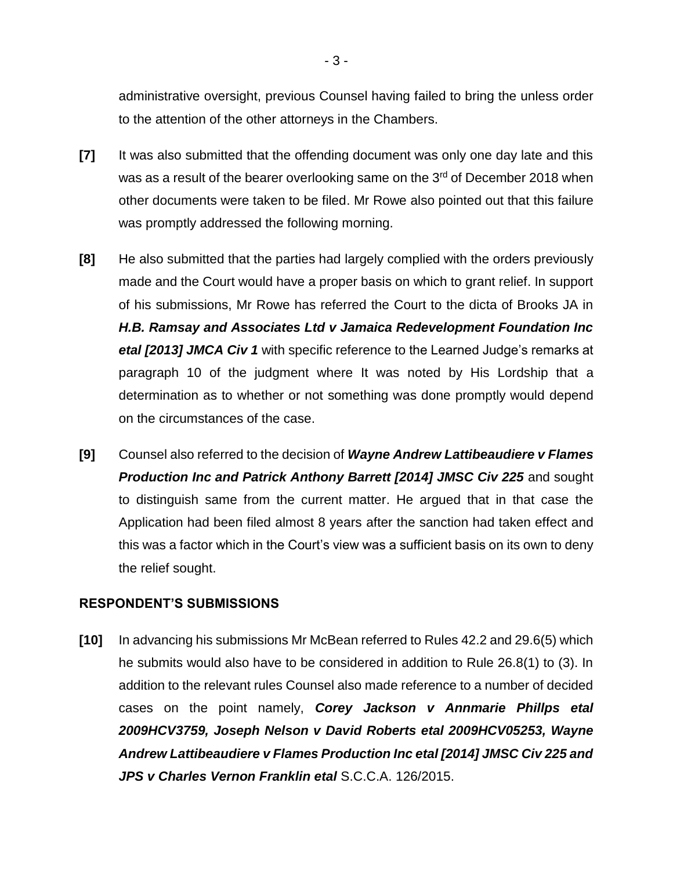administrative oversight, previous Counsel having failed to bring the unless order to the attention of the other attorneys in the Chambers.

- **[7]** It was also submitted that the offending document was only one day late and this was as a result of the bearer overlooking same on the 3<sup>rd</sup> of December 2018 when other documents were taken to be filed. Mr Rowe also pointed out that this failure was promptly addressed the following morning.
- **[8]** He also submitted that the parties had largely complied with the orders previously made and the Court would have a proper basis on which to grant relief. In support of his submissions, Mr Rowe has referred the Court to the dicta of Brooks JA in *H.B. Ramsay and Associates Ltd v Jamaica Redevelopment Foundation Inc etal [2013] JMCA Civ 1* with specific reference to the Learned Judge's remarks at paragraph 10 of the judgment where It was noted by His Lordship that a determination as to whether or not something was done promptly would depend on the circumstances of the case.
- **[9]** Counsel also referred to the decision of *Wayne Andrew Lattibeaudiere v Flames Production Inc and Patrick Anthony Barrett [2014] JMSC Civ 225* and sought to distinguish same from the current matter. He argued that in that case the Application had been filed almost 8 years after the sanction had taken effect and this was a factor which in the Court's view was a sufficient basis on its own to deny the relief sought.

### **RESPONDENT'S SUBMISSIONS**

**[10]** In advancing his submissions Mr McBean referred to Rules 42.2 and 29.6(5) which he submits would also have to be considered in addition to Rule 26.8(1) to (3). In addition to the relevant rules Counsel also made reference to a number of decided cases on the point namely, *Corey Jackson v Annmarie Phillps etal 2009HCV3759, Joseph Nelson v David Roberts etal 2009HCV05253, Wayne Andrew Lattibeaudiere v Flames Production Inc etal [2014] JMSC Civ 225 and JPS v Charles Vernon Franklin etal* S.C.C.A. 126/2015.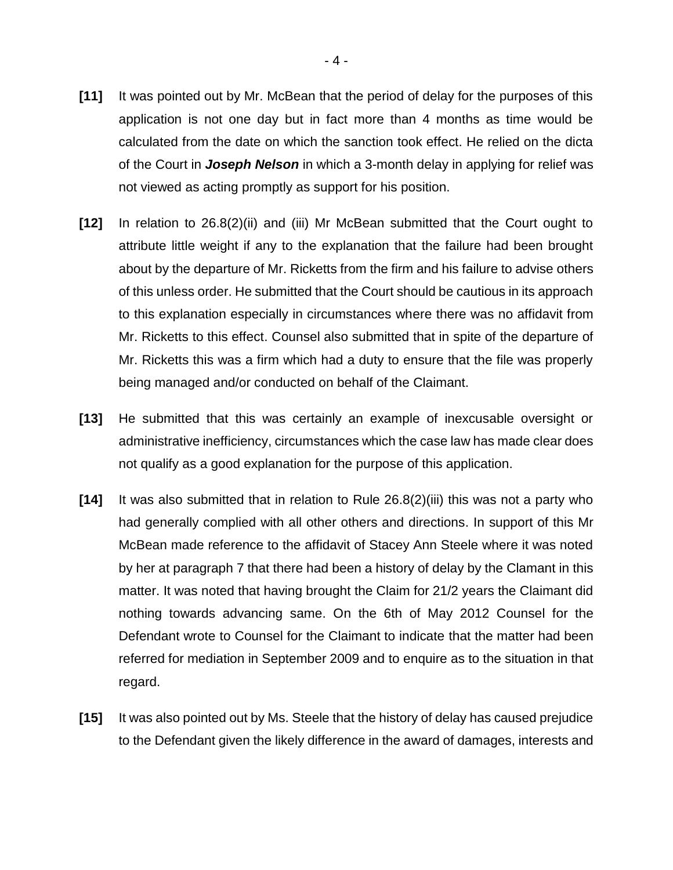- **[11]** It was pointed out by Mr. McBean that the period of delay for the purposes of this application is not one day but in fact more than 4 months as time would be calculated from the date on which the sanction took effect. He relied on the dicta of the Court in *Joseph Nelson* in which a 3-month delay in applying for relief was not viewed as acting promptly as support for his position.
- **[12]** In relation to 26.8(2)(ii) and (iii) Mr McBean submitted that the Court ought to attribute little weight if any to the explanation that the failure had been brought about by the departure of Mr. Ricketts from the firm and his failure to advise others of this unless order. He submitted that the Court should be cautious in its approach to this explanation especially in circumstances where there was no affidavit from Mr. Ricketts to this effect. Counsel also submitted that in spite of the departure of Mr. Ricketts this was a firm which had a duty to ensure that the file was properly being managed and/or conducted on behalf of the Claimant.
- **[13]** He submitted that this was certainly an example of inexcusable oversight or administrative inefficiency, circumstances which the case law has made clear does not qualify as a good explanation for the purpose of this application.
- **[14]** It was also submitted that in relation to Rule 26.8(2)(iii) this was not a party who had generally complied with all other others and directions. In support of this Mr McBean made reference to the affidavit of Stacey Ann Steele where it was noted by her at paragraph 7 that there had been a history of delay by the Clamant in this matter. It was noted that having brought the Claim for 21/2 years the Claimant did nothing towards advancing same. On the 6th of May 2012 Counsel for the Defendant wrote to Counsel for the Claimant to indicate that the matter had been referred for mediation in September 2009 and to enquire as to the situation in that regard.
- **[15]** It was also pointed out by Ms. Steele that the history of delay has caused prejudice to the Defendant given the likely difference in the award of damages, interests and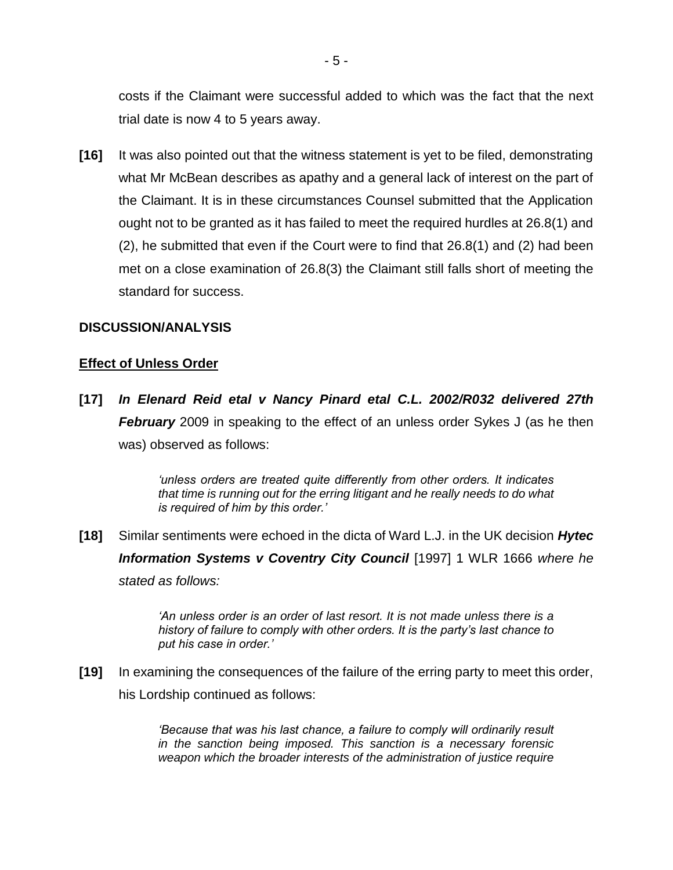costs if the Claimant were successful added to which was the fact that the next trial date is now 4 to 5 years away.

**[16]** It was also pointed out that the witness statement is yet to be filed, demonstrating what Mr McBean describes as apathy and a general lack of interest on the part of the Claimant. It is in these circumstances Counsel submitted that the Application ought not to be granted as it has failed to meet the required hurdles at 26.8(1) and (2), he submitted that even if the Court were to find that 26.8(1) and (2) had been met on a close examination of 26.8(3) the Claimant still falls short of meeting the standard for success.

#### **DISCUSSION/ANALYSIS**

#### **Effect of Unless Order**

**[17]** *In Elenard Reid etal v Nancy Pinard etal C.L. 2002/R032 delivered 27th*  **February** 2009 in speaking to the effect of an unless order Sykes J (as he then was) observed as follows:

> *'unless orders are treated quite differently from other orders. It indicates that time is running out for the erring litigant and he really needs to do what is required of him by this order.'*

**[18]** Similar sentiments were echoed in the dicta of Ward L.J. in the UK decision *Hytec Information Systems v Coventry City Council* [1997] 1 WLR 1666 *where he stated as follows:*

> *'An unless order is an order of last resort. It is not made unless there is a history of failure to comply with other orders. It is the party's last chance to put his case in order.'*

**[19]** In examining the consequences of the failure of the erring party to meet this order, his Lordship continued as follows:

> *'Because that was his last chance, a failure to comply will ordinarily result in the sanction being imposed. This sanction is a necessary forensic weapon which the broader interests of the administration of justice require*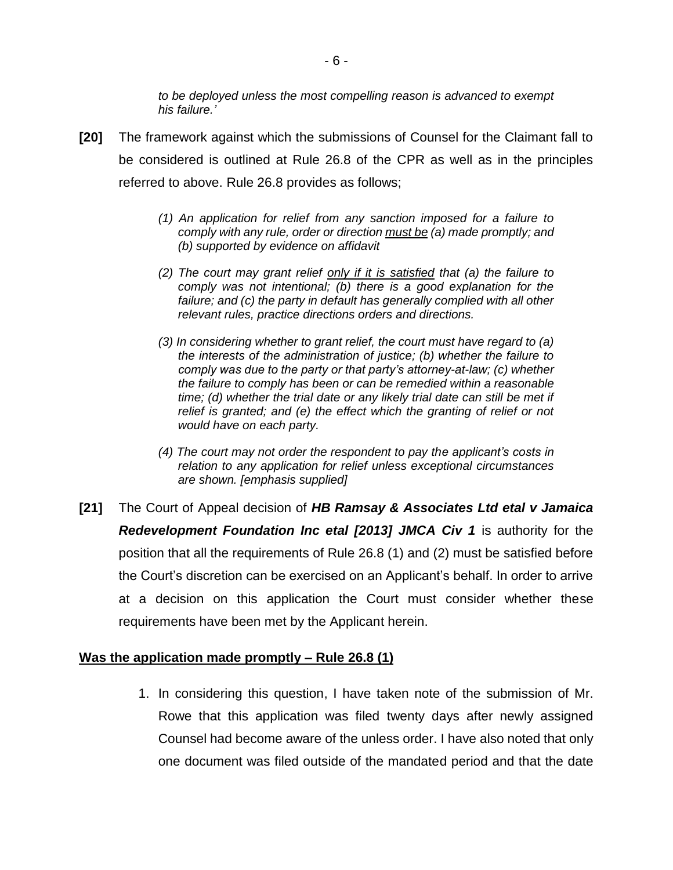*to be deployed unless the most compelling reason is advanced to exempt his failure.'*

- **[20]** The framework against which the submissions of Counsel for the Claimant fall to be considered is outlined at Rule 26.8 of the CPR as well as in the principles referred to above. Rule 26.8 provides as follows;
	- *(1) An application for relief from any sanction imposed for a failure to comply with any rule, order or direction must be (a) made promptly; and (b) supported by evidence on affidavit*
	- *(2) The court may grant relief only if it is satisfied that (a) the failure to comply was not intentional; (b) there is a good explanation for the failure; and (c) the party in default has generally complied with all other relevant rules, practice directions orders and directions.*
	- *(3) In considering whether to grant relief, the court must have regard to (a) the interests of the administration of justice; (b) whether the failure to comply was due to the party or that party's attorney-at-law; (c) whether the failure to comply has been or can be remedied within a reasonable*  time; (d) whether the trial date or any likely trial date can still be met if *relief is granted; and (e) the effect which the granting of relief or not would have on each party.*
	- *(4) The court may not order the respondent to pay the applicant's costs in relation to any application for relief unless exceptional circumstances are shown. [emphasis supplied]*
- **[21]** The Court of Appeal decision of *HB Ramsay & Associates Ltd etal v Jamaica Redevelopment Foundation Inc etal [2013] JMCA Civ 1* is authority for the position that all the requirements of Rule 26.8 (1) and (2) must be satisfied before the Court's discretion can be exercised on an Applicant's behalf. In order to arrive at a decision on this application the Court must consider whether these requirements have been met by the Applicant herein.

### **Was the application made promptly – Rule 26.8 (1)**

1. In considering this question, I have taken note of the submission of Mr. Rowe that this application was filed twenty days after newly assigned Counsel had become aware of the unless order. I have also noted that only one document was filed outside of the mandated period and that the date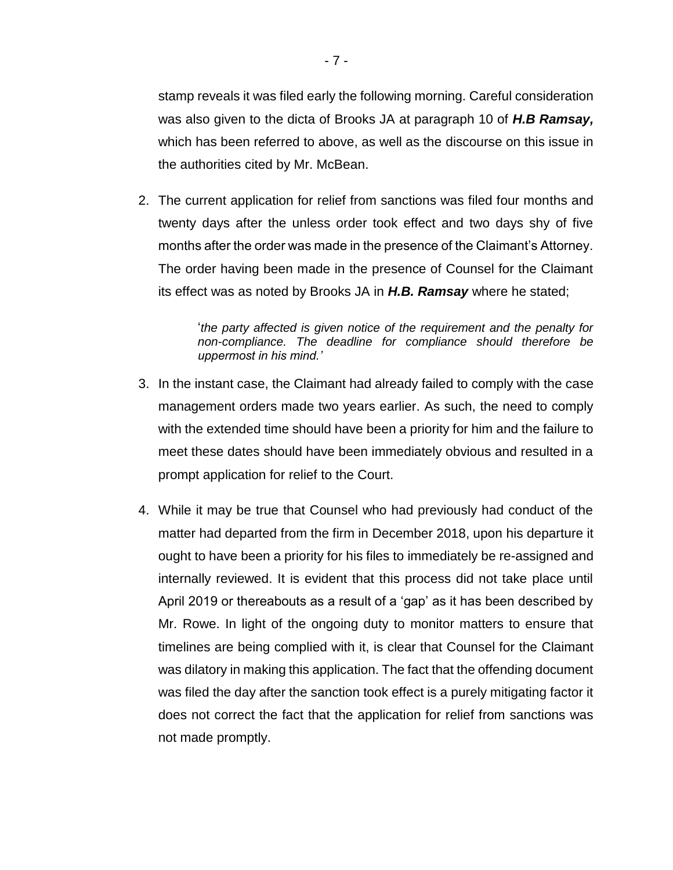stamp reveals it was filed early the following morning. Careful consideration was also given to the dicta of Brooks JA at paragraph 10 of *H.B Ramsay,* which has been referred to above, as well as the discourse on this issue in the authorities cited by Mr. McBean.

2. The current application for relief from sanctions was filed four months and twenty days after the unless order took effect and two days shy of five months after the order was made in the presence of the Claimant's Attorney. The order having been made in the presence of Counsel for the Claimant its effect was as noted by Brooks JA in *H.B. Ramsay* where he stated;

> '*the party affected is given notice of the requirement and the penalty for non-compliance. The deadline for compliance should therefore be uppermost in his mind.'*

- 3. In the instant case, the Claimant had already failed to comply with the case management orders made two years earlier. As such, the need to comply with the extended time should have been a priority for him and the failure to meet these dates should have been immediately obvious and resulted in a prompt application for relief to the Court.
- 4. While it may be true that Counsel who had previously had conduct of the matter had departed from the firm in December 2018, upon his departure it ought to have been a priority for his files to immediately be re-assigned and internally reviewed. It is evident that this process did not take place until April 2019 or thereabouts as a result of a 'gap' as it has been described by Mr. Rowe. In light of the ongoing duty to monitor matters to ensure that timelines are being complied with it, is clear that Counsel for the Claimant was dilatory in making this application. The fact that the offending document was filed the day after the sanction took effect is a purely mitigating factor it does not correct the fact that the application for relief from sanctions was not made promptly.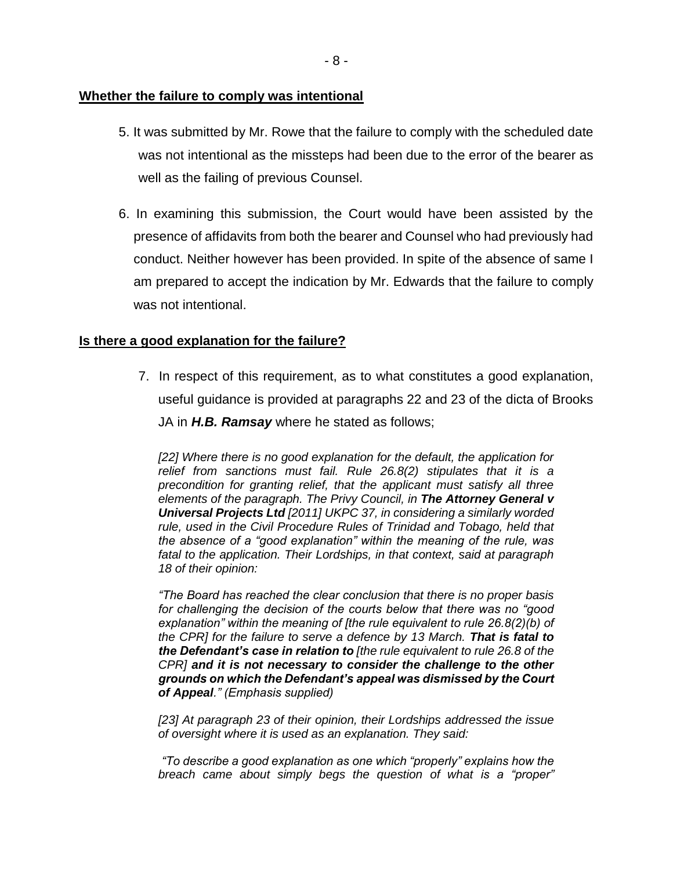- 5. It was submitted by Mr. Rowe that the failure to comply with the scheduled date was not intentional as the missteps had been due to the error of the bearer as well as the failing of previous Counsel.
- 6. In examining this submission, the Court would have been assisted by the presence of affidavits from both the bearer and Counsel who had previously had conduct. Neither however has been provided. In spite of the absence of same I am prepared to accept the indication by Mr. Edwards that the failure to comply was not intentional.

## **Is there a good explanation for the failure?**

7. In respect of this requirement, as to what constitutes a good explanation, useful guidance is provided at paragraphs 22 and 23 of the dicta of Brooks JA in *H.B. Ramsay* where he stated as follows;

*[22] Where there is no good explanation for the default, the application for relief from sanctions must fail. Rule 26.8(2) stipulates that it is a precondition for granting relief, that the applicant must satisfy all three elements of the paragraph. The Privy Council, in The Attorney General v Universal Projects Ltd [2011] UKPC 37, in considering a similarly worded rule, used in the Civil Procedure Rules of Trinidad and Tobago, held that the absence of a "good explanation" within the meaning of the rule, was fatal to the application. Their Lordships, in that context, said at paragraph 18 of their opinion:* 

*"The Board has reached the clear conclusion that there is no proper basis for challenging the decision of the courts below that there was no "good explanation" within the meaning of [the rule equivalent to rule 26.8(2)(b) of the CPR] for the failure to serve a defence by 13 March. That is fatal to the Defendant's case in relation to [the rule equivalent to rule 26.8 of the CPR] and it is not necessary to consider the challenge to the other grounds on which the Defendant's appeal was dismissed by the Court of Appeal." (Emphasis supplied)* 

*[23] At paragraph 23 of their opinion, their Lordships addressed the issue of oversight where it is used as an explanation. They said:* 

*"To describe a good explanation as one which "properly" explains how the breach came about simply begs the question of what is a "proper"*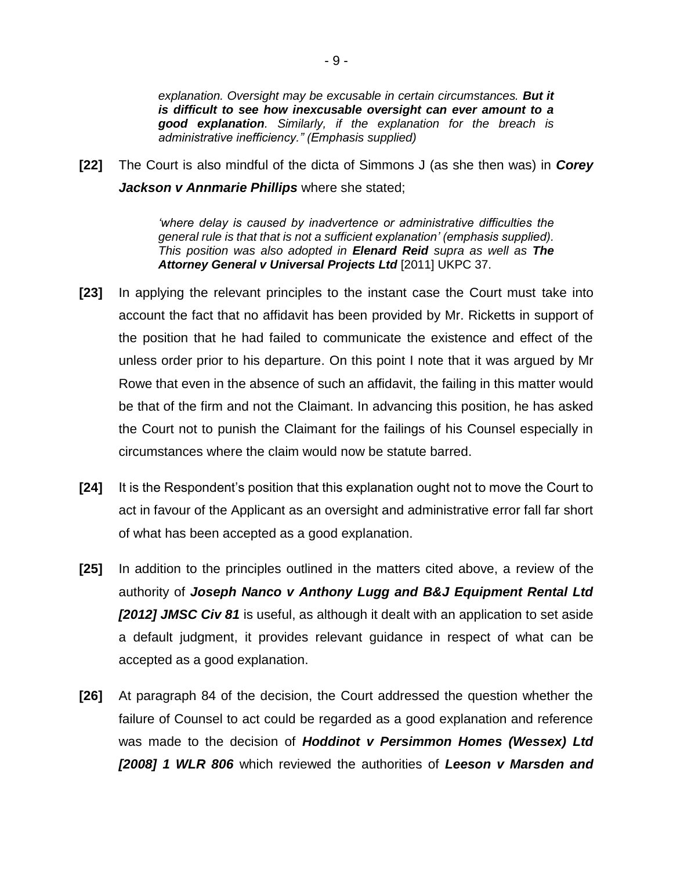*explanation. Oversight may be excusable in certain circumstances. But it is difficult to see how inexcusable oversight can ever amount to a good explanation. Similarly, if the explanation for the breach is administrative inefficiency." (Emphasis supplied)*

**[22]** The Court is also mindful of the dicta of Simmons J (as she then was) in *Corey Jackson v Annmarie Phillips* where she stated;

> *'where delay is caused by inadvertence or administrative difficulties the general rule is that that is not a sufficient explanation' (emphasis supplied). This position was also adopted in Elenard Reid supra as well as The Attorney General v Universal Projects Ltd* [2011] UKPC 37.

- **[23]** In applying the relevant principles to the instant case the Court must take into account the fact that no affidavit has been provided by Mr. Ricketts in support of the position that he had failed to communicate the existence and effect of the unless order prior to his departure. On this point I note that it was argued by Mr Rowe that even in the absence of such an affidavit, the failing in this matter would be that of the firm and not the Claimant. In advancing this position, he has asked the Court not to punish the Claimant for the failings of his Counsel especially in circumstances where the claim would now be statute barred.
- **[24]** It is the Respondent's position that this explanation ought not to move the Court to act in favour of the Applicant as an oversight and administrative error fall far short of what has been accepted as a good explanation.
- **[25]** In addition to the principles outlined in the matters cited above, a review of the authority of *Joseph Nanco v Anthony Lugg and B&J Equipment Rental Ltd [2012] JMSC Civ 81* is useful, as although it dealt with an application to set aside a default judgment, it provides relevant guidance in respect of what can be accepted as a good explanation.
- **[26]** At paragraph 84 of the decision, the Court addressed the question whether the failure of Counsel to act could be regarded as a good explanation and reference was made to the decision of *Hoddinot v Persimmon Homes (Wessex) Ltd [2008] 1 WLR 806* which reviewed the authorities of *Leeson v Marsden and*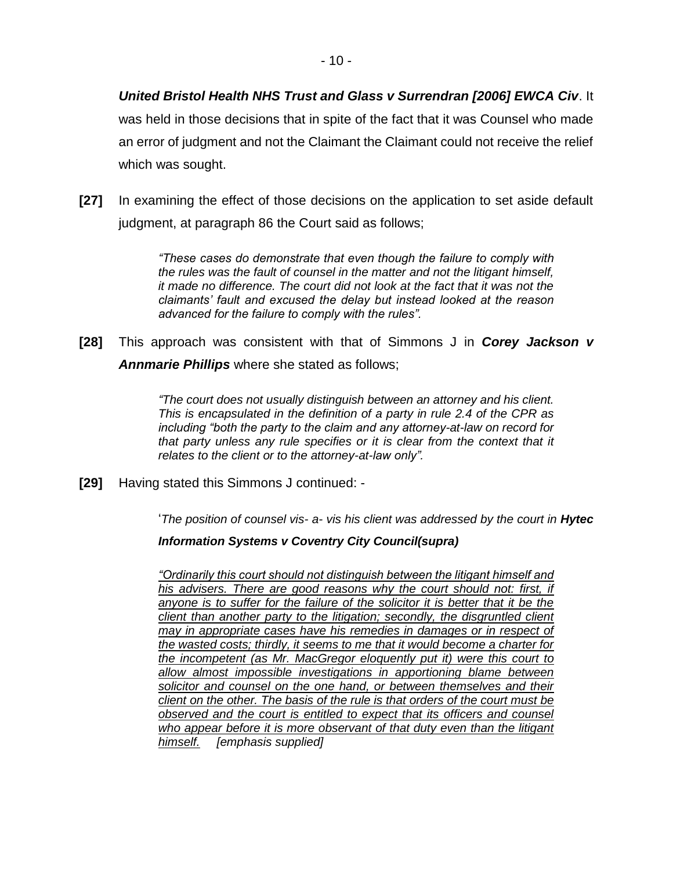# *United Bristol Health NHS Trust and Glass v Surrendran [2006] EWCA Civ*. It was held in those decisions that in spite of the fact that it was Counsel who made an error of judgment and not the Claimant the Claimant could not receive the relief which was sought.

**[27]** In examining the effect of those decisions on the application to set aside default judgment, at paragraph 86 the Court said as follows;

> *"These cases do demonstrate that even though the failure to comply with the rules was the fault of counsel in the matter and not the litigant himself, it made no difference. The court did not look at the fact that it was not the claimants' fault and excused the delay but instead looked at the reason advanced for the failure to comply with the rules".*

**[28]** This approach was consistent with that of Simmons J in *Corey Jackson v Annmarie Phillips* where she stated as follows;

> *"The court does not usually distinguish between an attorney and his client. This is encapsulated in the definition of a party in rule 2.4 of the CPR as including "both the party to the claim and any attorney-at-law on record for*  that party unless any rule specifies or it is clear from the context that it *relates to the client or to the attorney-at-law only".*

**[29]** Having stated this Simmons J continued: -

'*The position of counsel vis- a- vis his client was addressed by the court in Hytec* 

### *Information Systems v Coventry City Council(supra)*

*"Ordinarily this court should not distinguish between the litigant himself and*  his advisers. There are good reasons why the court should not: first, if anyone is to suffer for the failure of the solicitor it is better that it be the *client than another party to the litigation; secondly, the disgruntled client may in appropriate cases have his remedies in damages or in respect of the wasted costs; thirdly, it seems to me that it would become a charter for the incompetent (as Mr. MacGregor eloquently put it) were this court to allow almost impossible investigations in apportioning blame between solicitor and counsel on the one hand, or between themselves and their client on the other. The basis of the rule is that orders of the court must be observed and the court is entitled to expect that its officers and counsel who appear before it is more observant of that duty even than the litigant himself. [emphasis supplied]*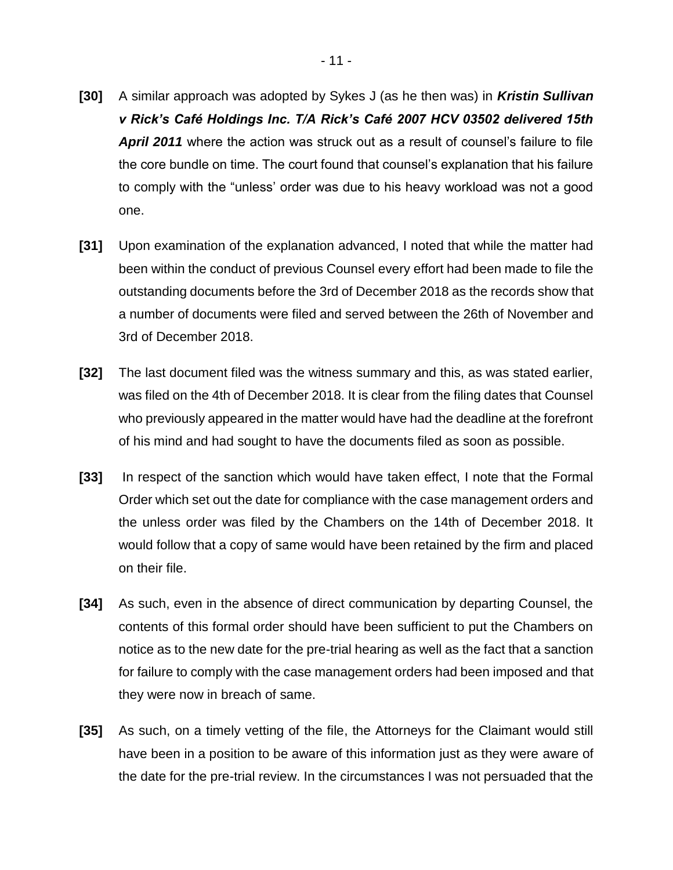- 11 -

- **[30]** A similar approach was adopted by Sykes J (as he then was) in *Kristin Sullivan v Rick's Café Holdings Inc. T/A Rick's Café 2007 HCV 03502 delivered 15th April 2011* where the action was struck out as a result of counsel's failure to file the core bundle on time. The court found that counsel's explanation that his failure to comply with the "unless' order was due to his heavy workload was not a good one.
- **[31]** Upon examination of the explanation advanced, I noted that while the matter had been within the conduct of previous Counsel every effort had been made to file the outstanding documents before the 3rd of December 2018 as the records show that a number of documents were filed and served between the 26th of November and 3rd of December 2018.
- **[32]** The last document filed was the witness summary and this, as was stated earlier, was filed on the 4th of December 2018. It is clear from the filing dates that Counsel who previously appeared in the matter would have had the deadline at the forefront of his mind and had sought to have the documents filed as soon as possible.
- **[33]** In respect of the sanction which would have taken effect, I note that the Formal Order which set out the date for compliance with the case management orders and the unless order was filed by the Chambers on the 14th of December 2018. It would follow that a copy of same would have been retained by the firm and placed on their file.
- **[34]** As such, even in the absence of direct communication by departing Counsel, the contents of this formal order should have been sufficient to put the Chambers on notice as to the new date for the pre-trial hearing as well as the fact that a sanction for failure to comply with the case management orders had been imposed and that they were now in breach of same.
- **[35]** As such, on a timely vetting of the file, the Attorneys for the Claimant would still have been in a position to be aware of this information just as they were aware of the date for the pre-trial review. In the circumstances I was not persuaded that the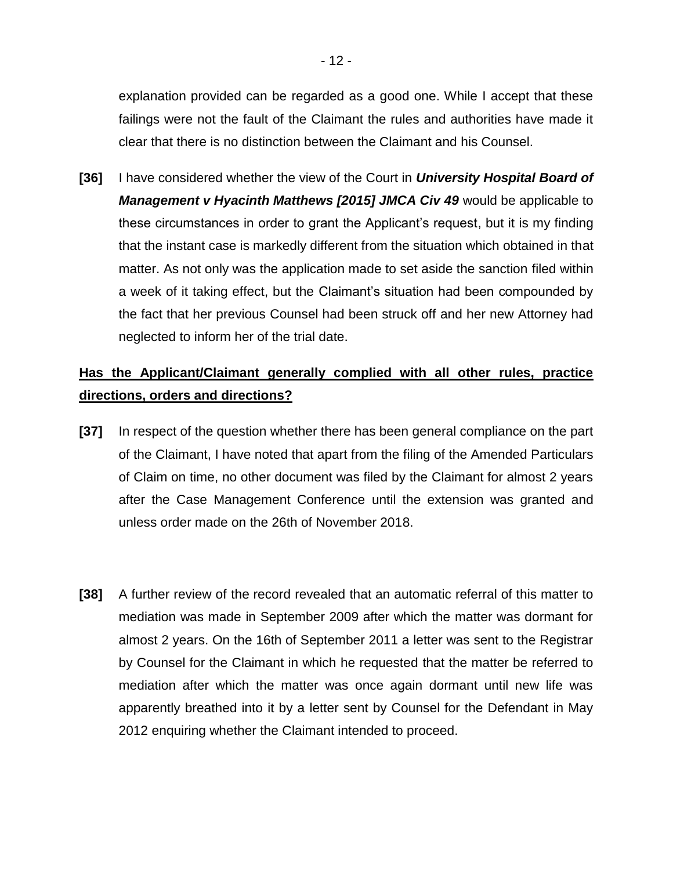explanation provided can be regarded as a good one. While I accept that these failings were not the fault of the Claimant the rules and authorities have made it clear that there is no distinction between the Claimant and his Counsel.

**[36]** I have considered whether the view of the Court in *University Hospital Board of Management v Hyacinth Matthews [2015] JMCA Civ 49* would be applicable to these circumstances in order to grant the Applicant's request, but it is my finding that the instant case is markedly different from the situation which obtained in that matter. As not only was the application made to set aside the sanction filed within a week of it taking effect, but the Claimant's situation had been compounded by the fact that her previous Counsel had been struck off and her new Attorney had neglected to inform her of the trial date.

# **Has the Applicant/Claimant generally complied with all other rules, practice directions, orders and directions?**

- **[37]** In respect of the question whether there has been general compliance on the part of the Claimant, I have noted that apart from the filing of the Amended Particulars of Claim on time, no other document was filed by the Claimant for almost 2 years after the Case Management Conference until the extension was granted and unless order made on the 26th of November 2018.
- **[38]** A further review of the record revealed that an automatic referral of this matter to mediation was made in September 2009 after which the matter was dormant for almost 2 years. On the 16th of September 2011 a letter was sent to the Registrar by Counsel for the Claimant in which he requested that the matter be referred to mediation after which the matter was once again dormant until new life was apparently breathed into it by a letter sent by Counsel for the Defendant in May 2012 enquiring whether the Claimant intended to proceed.